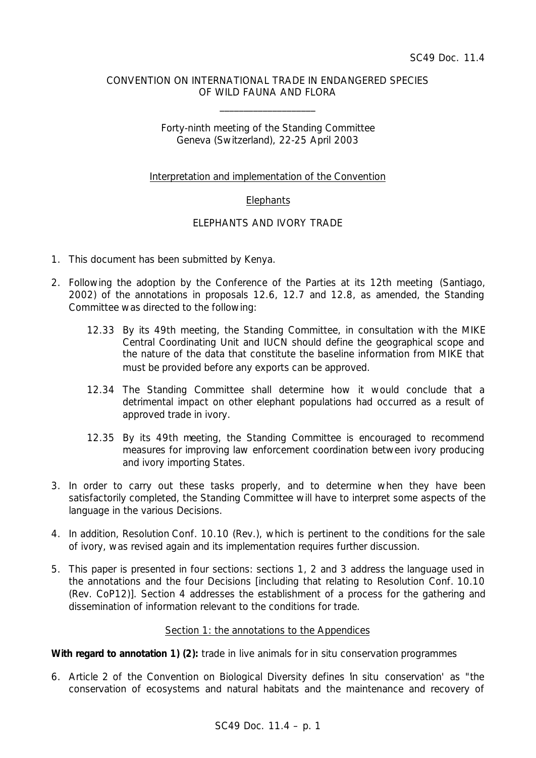### CONVENTION ON INTERNATIONAL TRADE IN ENDANGERED SPECIES OF WILD FAUNA AND FLORA

\_\_\_\_\_\_\_\_\_\_\_\_\_\_\_\_\_\_\_\_

# Forty-ninth meeting of the Standing Committee Geneva (Switzerland), 22-25 April 2003

### Interpretation and implementation of the Convention

# **Elephants**

# ELEPHANTS AND IVORY TRADE

- 1. This document has been submitted by Kenya.
- 2. Following the adoption by the Conference of the Parties at its 12th meeting (Santiago, 2002) of the annotations in proposals 12.6, 12.7 and 12.8, as amended, the Standing Committee was directed to the following:
	- *12.33 By its 49th meeting, the Standing Committee, in consultation with the MIKE Central Coordinating Unit and IUCN should define the geographical scope and the nature of the data that constitute the baseline information from MIKE that must be provided before any exports can be approved.*
	- *12.34 The Standing Committee shall determine how it would conclude that a detrimental impact on other elephant populations had occurred as a result of approved trade in ivory.*
	- *12.35 By its 49th meeting, the Standing Committee is encouraged to recommend measures for improving law enforcement coordination between ivory producing and ivory importing States.*
- 3. In order to carry out these tasks properly, and to determine when they have been satisfactorily completed, the Standing Committee will have to interpret some aspects of the language in the various Decisions.
- 4. In addition, Resolution Conf. 10.10 (Rev.), which is pertinent to the conditions for the sale of ivory, was revised again and its implementation requires further discussion.
- 5. This paper is presented in four sections: sections 1, 2 and 3 address the language used in the annotations and the four Decisions [including that relating to Resolution Conf. 10.10 (Rev. CoP12)]. Section 4 addresses the establishment of a process for the gathering and dissemination of information relevant to the conditions for trade.

#### Section 1: the annotations to the Appendices

#### **With regard to annotation 1) (2):** *trade in live animals for* in situ *conservation programmes*

6. Article 2 of the Convention on Biological Diversity defines '*in situ* conservation' as "the conservation of ecosystems and natural habitats and the maintenance and recovery of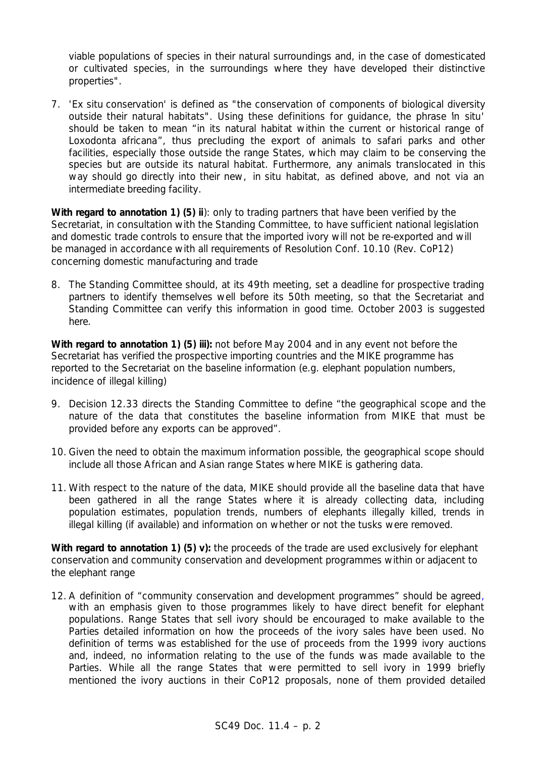viable populations of species in their natural surroundings and, in the case of domesticated or cultivated species, in the surroundings where they have developed their distinctive properties".

7. '*Ex situ* conservation' is defined as "the conservation of components of biological diversity outside their natural habitats". Using these definitions for guidance, the phrase '*in situ*' should be taken to mean "in its natural habitat within the current or historical range of *Loxodonta africana*", thus precluding the export of animals to safari parks and other facilities, especially those outside the range States, which may claim to be conserving the species but are outside its natural habitat. Furthermore, any animals translocated in this way should go directly into their new, *in situ* habitat, as defined above, and not via an intermediate breeding facility.

**With regard to annotation 1) (5) ii**): *only to trading partners that have been verified by the Secretariat, in consultation with the Standing Committee, to have sufficient national legislation and domestic trade controls to ensure that the imported ivory will not be re-exported and will be managed in accordance with all requirements of Resolution Conf. 10.10 (Rev. CoP12) concerning domestic manufacturing and trade*

8. The Standing Committee should, at its 49th meeting, set a deadline for prospective trading partners to identify themselves well before its 50th meeting, so that the Secretariat and Standing Committee can verify this information in good time. October 2003 is suggested here.

**With regard to annotation 1) (5) iii):** *not before May 2004 and in any event not before the Secretariat has verified the prospective importing countries and the MIKE programme has reported to the Secretariat on the baseline information (e.g. elephant population numbers, incidence of illegal killing)*

- 9. Decision 12.33 directs the Standing Committee to define "the geographical scope and the nature of the data that constitutes the baseline information from MIKE that must be provided before any exports can be approved".
- 10. Given the need to obtain the maximum information possible, the geographical scope should include all those African and Asian range States where MIKE is gathering data.
- 11. With respect to the nature of the data, MIKE should provide all the baseline data that have been gathered in all the range States where it is already collecting data, including population estimates, population trends, numbers of elephants illegally killed, trends in illegal killing (if available) and information on whether or not the tusks were removed.

**With regard to annotation 1) (5) v):** *the proceeds of the trade are used exclusively for elephant conservation and community conservation and development programmes within or adjacent to the elephant range*

12. A definition of "community conservation and development programmes" should be agreed, with an emphasis given to those programmes likely to have direct benefit for elephant populations. Range States that sell ivory should be encouraged to make available to the Parties detailed information on how the proceeds of the ivory sales have been used. No definition of terms was established for the use of proceeds from the 1999 ivory auctions and, indeed, no information relating to the use of the funds was made available to the Parties. While all the range States that were permitted to sell ivory in 1999 briefly mentioned the ivory auctions in their CoP12 proposals, none of them provided detailed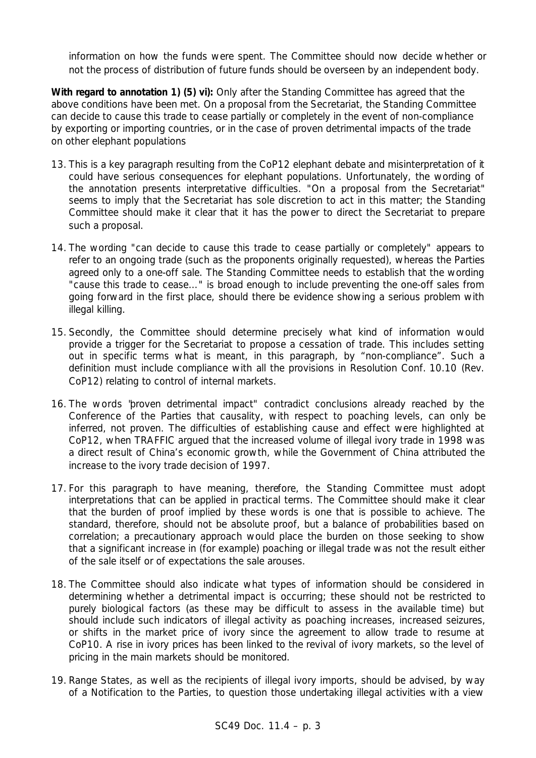information on how the funds were spent. The Committee should now decide whether or not the process of distribution of future funds should be overseen by an independent body.

**With regard to annotation 1) (5) vi):** *Only after the Standing Committee has agreed that the above conditions have been met. On a proposal from the Secretariat, the Standing Committee can decide to cause this trade to cease partially or completely in the event of non-compliance by exporting or importing countries, or in the case of proven detrimental impacts of the trade on other elephant populations*

- 13. This is a key paragraph resulting from the CoP12 elephant debate and misinterpretation of it could have serious consequences for elephant populations. Unfortunately, the wording of the annotation presents interpretative difficulties. "On a proposal from the Secretariat" seems to imply that the Secretariat has sole discretion to act in this matter; the Standing Committee should make it clear that it has the power to direct the Secretariat to prepare such a proposal.
- 14. The wording "can decide to cause this trade to cease partially or completely" appears to refer to an ongoing trade (such as the proponents originally requested), whereas the Parties agreed only to a one-off sale. The Standing Committee needs to establish that the wording "cause this trade to cease…" is broad enough to include preventing the one-off sales from going forward in the first place, should there be evidence showing a serious problem with illegal killing.
- 15. Secondly, the Committee should determine precisely what kind of information would provide a trigger for the Secretariat to propose a cessation of trade. This includes setting out in specific terms what is meant, in this paragraph, by "non-compliance". Such a definition must include compliance with all the provisions in Resolution Conf. 10.10 (Rev. CoP12) relating to control of internal markets.
- 16. The words "proven detrimental impact" contradict conclusions already reached by the Conference of the Parties that causality, with respect to poaching levels, can only be inferred, not proven. The difficulties of establishing cause and effect were highlighted at CoP12, when TRAFFIC argued that the increased volume of illegal ivory trade in 1998 was a direct result of China's economic growth, while the Government of China attributed the increase to the ivory trade decision of 1997.
- 17. For this paragraph to have meaning, therefore, the Standing Committee must adopt interpretations that can be applied in practical terms. The Committee should make it clear that the burden of proof implied by these words is one that is possible to achieve. The standard, therefore, should not be absolute proof, but a balance of probabilities based on correlation; a precautionary approach would place the burden on those seeking to show that a significant increase in (for example) poaching or illegal trade was not the result either of the sale itself or of expectations the sale arouses.
- 18. The Committee should also indicate what types of information should be considered in determining whether a detrimental impact is occurring; these should not be restricted to purely biological factors (as these may be difficult to assess in the available time) but should include such indicators of illegal activity as poaching increases, increased seizures, or shifts in the market price of ivory since the agreement to allow trade to resume at CoP10. A rise in ivory prices has been linked to the revival of ivory markets, so the level of pricing in the main markets should be monitored.
- 19. Range States, as well as the recipients of illegal ivory imports, should be advised, by way of a Notification to the Parties, to question those undertaking illegal activities with a view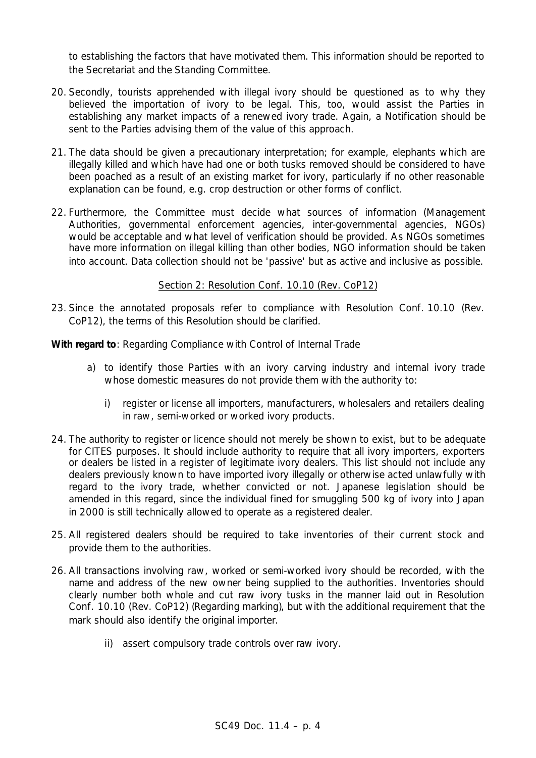to establishing the factors that have motivated them. This information should be reported to the Secretariat and the Standing Committee.

- 20. Secondly, tourists apprehended with illegal ivory should be questioned as to why they believed the importation of ivory to be legal. This, too, would assist the Parties in establishing any market impacts of a renewed ivory trade. Again, a Notification should be sent to the Parties advising them of the value of this approach.
- 21. The data should be given a precautionary interpretation; for example, elephants which are illegally killed and which have had one or both tusks removed should be considered to have been poached as a result of an existing market for ivory, particularly if no other reasonable explanation can be found, e.g. crop destruction or other forms of conflict.
- 22. Furthermore, the Committee must decide what sources of information (Management Authorities, governmental enforcement agencies, inter-governmental agencies, NGOs) would be acceptable and what level of verification should be provided. As NGOs sometimes have more information on illegal killing than other bodies, NGO information should be taken into account. Data collection should not be 'passive' but as active and inclusive as possible.

# Section 2: Resolution Conf. 10.10 (Rev. CoP12)

23. Since the annotated proposals refer to compliance with Resolution Conf. 10.10 (Rev. CoP12), the terms of this Resolution should be clarified.

# **With regard to**: *Regarding Compliance with Control of Internal Trade*

- *a) to identify those Parties with an ivory carving industry and internal ivory trade whose domestic measures do not provide them with the authority to:*
	- *i) register or license all importers, manufacturers, wholesalers and retailers dealing in raw, semi-worked or worked ivory products.*
- 24. The authority to register or licence should not merely be shown to exist, but to be adequate for CITES purposes. It should include authority to require that all ivory importers, exporters or dealers be listed in a register of legitimate ivory dealers. This list should not include any dealers previously known to have imported ivory illegally or otherwise acted unlawfully with regard to the ivory trade, whether convicted or not. Japanese legislation should be amended in this regard, since the individual fined for smuggling 500 kg of ivory into Japan in 2000 is still technically allowed to operate as a registered dealer.
- 25. All registered dealers should be required to take inventories of their current stock and provide them to the authorities.
- 26. All transactions involving raw, worked or semi-worked ivory should be recorded, with the name and address of the new owner being supplied to the authorities. Inventories should clearly number both whole and cut raw ivory tusks in the manner laid out in Resolution Conf. 10.10 (Rev. CoP12) (*Regarding marking)*, but with the additional requirement that the mark should also identify the original importer.
	- *ii) assert compulsory trade controls over raw ivory.*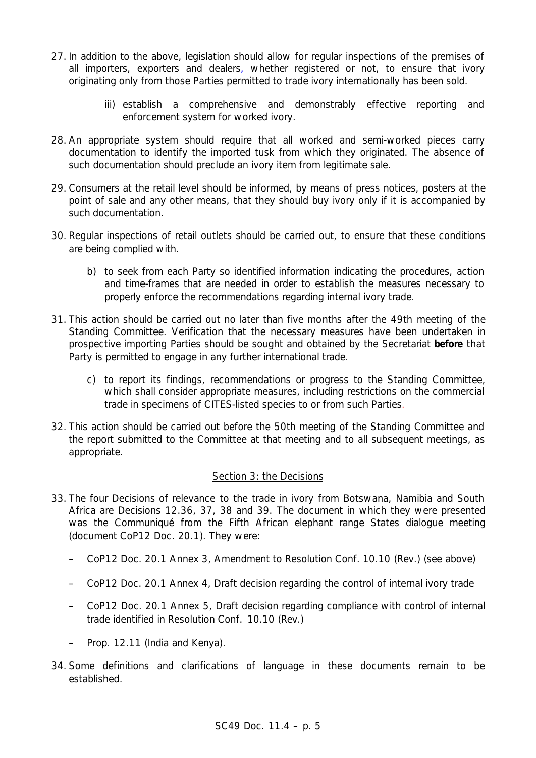- 27. In addition to the above, legislation should allow for regular inspections of the premises of all importers, exporters and dealers, whether registered or not, to ensure that ivory originating only from those Parties permitted to trade ivory internationally has been sold.
	- *iii) establish a comprehensive and demonstrably effective reporting and enforcement system for worked ivory.*
- 28. An appropriate system should require that all worked and semi-worked pieces carry documentation to identify the imported tusk from which they originated. The absence of such documentation should preclude an ivory item from legitimate sale.
- 29. Consumers at the retail level should be informed, by means of press notices, posters at the point of sale and any other means, that they should buy ivory only if it is accompanied by such documentation.
- 30. Regular inspections of retail outlets should be carried out, to ensure that these conditions are being complied with.
	- *b) to seek from each Party so identified information indicating the procedures, action and time-frames that are needed in order to establish the measures necessary to properly enforce the recommendations regarding internal ivory trade.*
- 31. This action should be carried out no later than five months after the 49th meeting of the Standing Committee. Verification that the necessary measures have been undertaken in prospective importing Parties should be sought and obtained by the Secretariat **before** that Party is permitted to engage in any further international trade.
	- *c) to report its findings, recommendations or progress to the Standing Committee, which shall consider appropriate measures, including restrictions on the commercial trade in specimens of CITES-listed species to or from such Parties.*
- 32. This action should be carried out before the 50th meeting of the Standing Committee and the report submitted to the Committee at that meeting and to all subsequent meetings, as appropriate.

#### Section 3: the Decisions

- 33. The four Decisions of relevance to the trade in ivory from Botswana, Namibia and South Africa are Decisions 12.36, 37, 38 and 39. The document in which they were presented was the Communiqué from the Fifth African elephant range States dialogue meeting (document CoP12 Doc. 20.1). They were:
	- CoP12 Doc. 20.1 Annex 3, Amendment to Resolution Conf. 10.10 (Rev.) (see above)
	- CoP12 Doc. 20.1 Annex 4, Draft decision regarding the control of internal ivory trade
	- CoP12 Doc. 20.1 Annex 5, Draft decision regarding compliance with control of internal trade identified in Resolution Conf. 10.10 (Rev.)
	- Prop. 12.11 (India and Kenya).
- 34. Some definitions and clarifications of language in these documents remain to be established.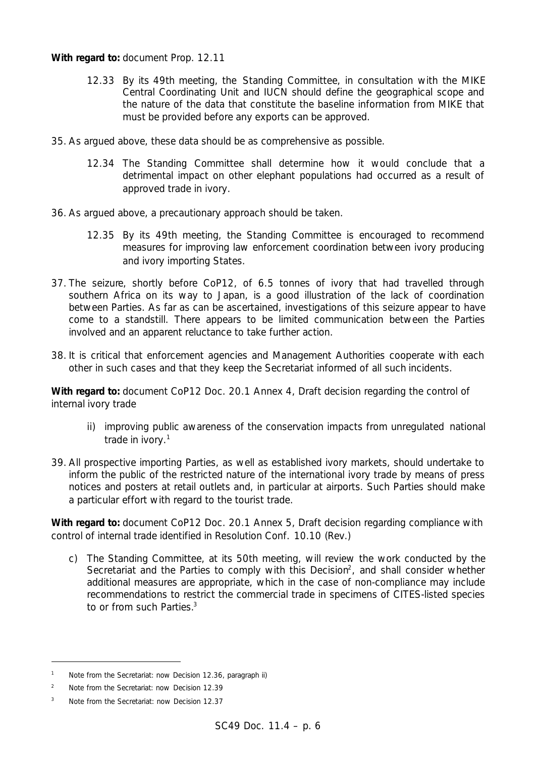#### With regard to: document Prop. 12.11

- *12.33 By its 49th meeting, the Standing Committee, in consultation with the MIKE Central Coordinating Unit and IUCN should define the geographical scope and the nature of the data that constitute the baseline information from MIKE that must be provided before any exports can be approved.*
- 35. As argued above, these data should be as comprehensive as possible.
	- *12.34 The Standing Committee shall determine how it would conclude that a detrimental impact on other elephant populations had occurred as a result of approved trade in ivory.*
- 36. As argued above, a precautionary approach should be taken.
	- *12.35 By its 49th meeting, the Standing Committee is encouraged to recommend measures for improving law enforcement coordination between ivory producing and ivory importing States.*
- 37. The seizure, shortly before CoP12, of 6.5 tonnes of ivory that had travelled through southern Africa on its way to Japan, is a good illustration of the lack of coordination between Parties. As far as can be ascertained, investigations of this seizure appear to have come to a standstill. There appears to be limited communication between the Parties involved and an apparent reluctance to take further action.
- 38. It is critical that enforcement agencies and Management Authorities cooperate with each other in such cases and that they keep the Secretariat informed of all such incidents.

**With regard to:** document CoP12 Doc. 20.1 Annex 4, Draft decision regarding the control of internal ivory trade

- *ii) improving public awareness of the conservation impacts from unregulated national trade in ivory.*<sup>1</sup>
- 39. All prospective importing Parties, as well as established ivory markets, should undertake to inform the public of the restricted nature of the international ivory trade by means of press notices and posters at retail outlets and, in particular at airports. Such Parties should make a particular effort with regard to the tourist trade.

With regard to: document CoP12 Doc. 20.1 Annex 5, Draft decision regarding compliance with control of internal trade identified in Resolution Conf. 10.10 (Rev.)

*c) The Standing Committee, at its 50th meeting, will review the work conducted by the* Secretariat and the Parties to comply with this Decision<sup>2</sup>, and shall consider whether *additional measures are appropriate, which in the case of non-compliance may include recommendations to restrict the commercial trade in specimens of CITES-listed species to or from such Parties.*<sup>3</sup>

ł

*<sup>1</sup> Note from the Secretariat: now Decision 12.36, paragraph ii)*

*<sup>2</sup> Note from the Secretariat: now Decision 12.39*

*<sup>3</sup> Note from the Secretariat: now Decision 12.37*